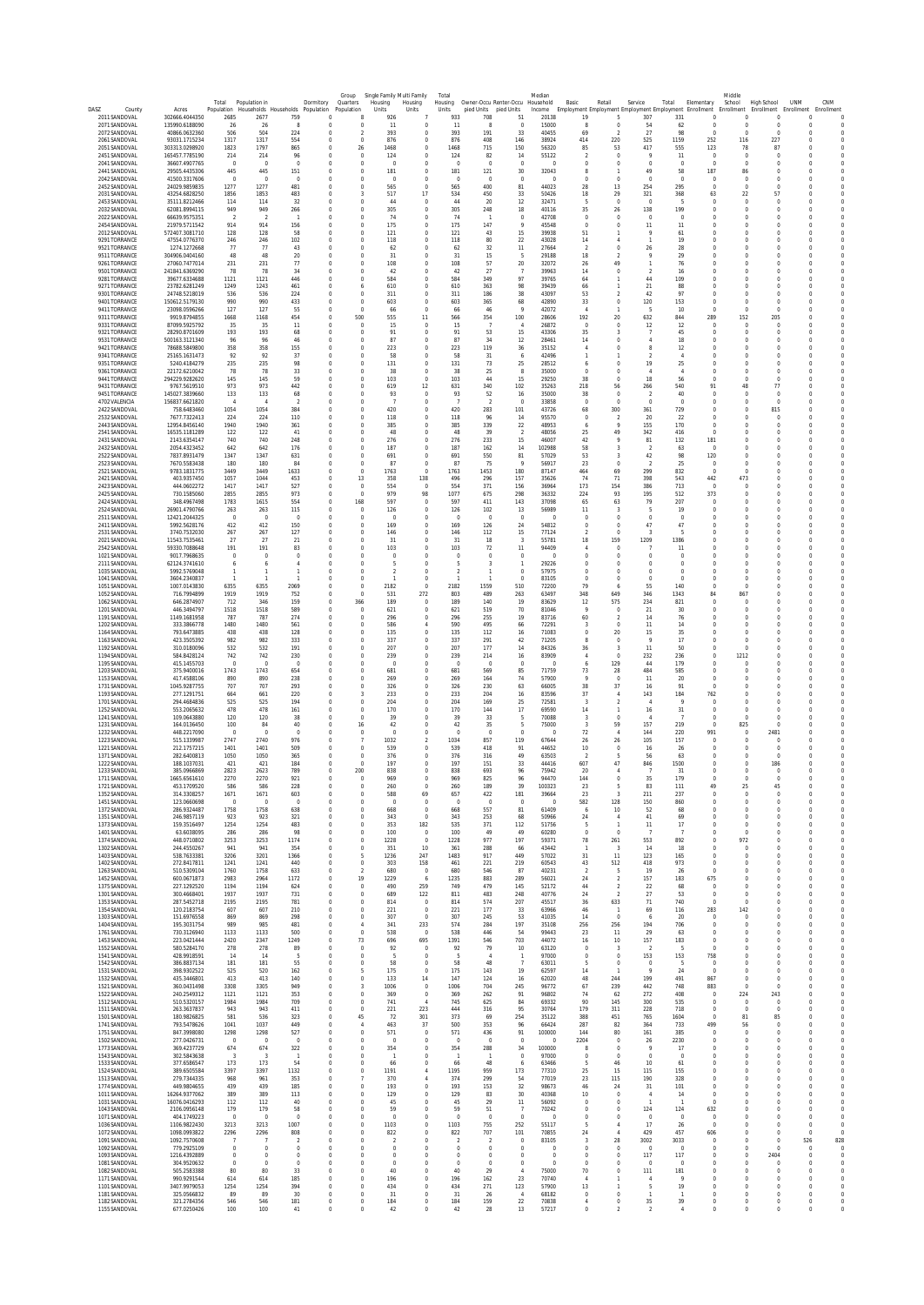| DASZ<br>County                 | Acres                                        | Total<br>Population       | Population in<br>Households Households |                                  | Dormitory<br>Population          | Group<br>Quarters<br>Population  | Single Family<br>Multi Family<br>Housing<br>Housing<br>Units<br>Units | Total<br>Housing<br>Units      | Owner-Occu Renter-Occu<br>pied Units | pied Units             | Mediai<br>Household<br>Income | Basic                         | Retail                           | Service<br>Employment Employment Employment Employment Enrollment | Total                      | Elementary                  | Middl<br>School<br>Enrollment | High School                                                    | <b>UNM</b><br>Enrollment Enrollment | CNM<br>Enrollment                |
|--------------------------------|----------------------------------------------|---------------------------|----------------------------------------|----------------------------------|----------------------------------|----------------------------------|-----------------------------------------------------------------------|--------------------------------|--------------------------------------|------------------------|-------------------------------|-------------------------------|----------------------------------|-------------------------------------------------------------------|----------------------------|-----------------------------|-------------------------------|----------------------------------------------------------------|-------------------------------------|----------------------------------|
| 2011 SANDOVAL<br>2071 SANDOVAL | 302666.4044350<br>135990.6188090             | 2685<br>26                | 2677<br>26                             | 759<br>-8                        | $\sqrt{ }$<br>$\Omega$           | -8<br>$\overline{0}$             | 926<br>11<br>$\Omega$                                                 | 933<br>11                      | 708<br>-8                            | -51<br>$\Omega$        | 20138<br>15000                | 19<br>-8                      | 5<br>$\Omega$                    | 307<br>54                                                         | 331<br>62                  | $\Omega$<br>0               |                               | $\Omega$<br>$\Omega$<br>$\Omega$<br>$\Omega$                   | $\Omega$<br>$^{\circ}$              | $\overline{0}$<br>$\overline{0}$ |
| 2072 SANDOVAL<br>2061 SANDOVAL | 40866.0632360<br>93031.1715234               | 506<br>1317               | 504<br>1317                            | 224<br>554                       | O<br>$\theta$                    | $\theta$                         | 393<br>$\circ$<br>876<br>$\circ$                                      | 393<br>876                     | 191<br>408                           | 33<br>146              | 40455<br>38924                | 69<br>414                     | 220                              | 27<br>525                                                         | 98<br>1159                 | $\bf 0$<br>252              | 116                           | $\mathbf 0$<br>$\overline{0}$<br>227                           | $\overline{0}$<br>$\overline{0}$    | $\overline{0}$<br>$\theta$       |
| 2051 SANDOVAL<br>2451 SANDOVAL | 303313 0298920<br>165457.7785190             | 1823<br>214               | 1797<br>214                            | 865<br>96                        | $\overline{0}$<br>0              | 26<br>0                          | 1468<br>$\circ$<br>124<br>$\bf 0$                                     | 1468<br>124                    | 715<br>82                            | 150<br>14              | 56320<br>55122                | 85                            | 53<br>$\circ$                    | 417<br>9                                                          | 555<br>11                  | 123<br>$\bf{0}$             |                               | 78<br>87<br>$\bf{0}$<br>$\bf{0}$                               | $\overline{0}$                      | $\overline{0}$<br>$\overline{0}$ |
| 2041 SANDOVAL<br>2441 SANDOVAL | 36607.4907765<br>29505.4435306               | $\overline{0}$<br>445     | $\overline{0}$<br>445                  | $\overline{0}$<br>151            | $\overline{0}$<br>$^{\circ}$     | $\overline{0}$<br>$\overline{0}$ | $\circ$<br>$\circ$<br>181<br>$\circ$                                  | $^{\circ}$<br>181              | $\overline{0}$<br>121                | $\overline{0}$<br>30   | 0<br>32043                    | $\overline{0}$<br>-8          | $\theta$                         | $\overline{0}$<br>49                                              | $^{\circ}$<br>58           | $\mathbf{0}$<br>187         |                               | $\mathbf{0}$<br>$\overline{0}$<br>86<br>$^{\circ}$             | $^{\circ}$<br>$\Omega$              | $\overline{0}$<br>$\overline{0}$ |
| 2042 SANDOVAL                  | 41500.3317606                                | $\circ$                   | $\overline{0}$                         | $\overline{0}$                   |                                  | $\overline{0}$                   | $\theta$<br>$\bf 0$                                                   | $\circ$                        | $\circ$                              | $\circ$                | $\overline{0}$                | $\circ$                       | $\theta$                         | $\theta$                                                          | $\bf 0$                    | $\bf 0$                     |                               | $\overline{0}$<br>$\overline{0}$                               |                                     | $\overline{0}$                   |
| 2452 SANDOVAL<br>2031 SANDOVAL | 24029.9859835<br>43254 6828250               | 1277<br>1856              | 1277<br>1853                           | 481<br>483                       | $\overline{0}$<br>$\overline{0}$ | $\overline{0}$<br>з              | 565<br>$\circ$<br>17<br>517                                           | 565<br>534                     | 400<br>450                           | 81<br>33               | 44023<br>50426                | $28\,$<br>18                  | 13<br>29                         | 254<br>321                                                        | 295<br>368                 | $\mathbf{0}$<br>63          |                               | $\overline{0}$<br>$\overline{0}$<br>22<br>57                   | $^{\circ}$<br>$\Omega$              | $\overline{0}$<br>$\overline{0}$ |
| 2453 SANDOVAL<br>2032 SANDOVAL | 35111.8212466<br>62081.8994115               | 114<br>949                | 114<br>949                             | 32<br>266                        | $\Omega$<br>$\mathbf 0$          | $\overline{0}$<br>0              | 44<br>$\circ$<br>305<br>$\bf 0$                                       | 44<br>305                      | 20<br>248                            | 12<br>18               | 32471<br>40116                | -5<br>35                      | $\Omega$<br>26                   | $\Omega$<br>138                                                   | -5<br>199                  | $\mathbf{0}$<br>$\bf 0$     |                               | $\Omega$<br>$\Omega$<br>$\bf{0}$<br>$\bf{0}$                   | $\Omega$                            | $\overline{0}$<br>$\overline{0}$ |
| 2022 SANDOVAL<br>2454 SANDOVAL | 66639.9575351<br>21979.5711542               | - 2<br>914                | $\overline{2}$<br>914                  | 156                              | $\Omega$<br>$\Omega$             | $^{\circ}$<br>$^{\circ}$         | 74<br>$\circ$<br>175<br>$^{\circ}$                                    | 74<br>175                      | 147                                  | $\circ$<br>$\mathsf Q$ | 42708<br>45548                | $\overline{0}$<br>$\Omega$    | $^{\circ}$<br>$\Omega$           | $^{\circ}$<br>11                                                  | $^{\circ}$<br>11           | 0<br>$\mathbf 0$            |                               | $^{\circ}$<br>$^{\circ}$<br>$\Omega$<br>$\Omega$               | $\Omega$<br>$\Omega$                | $\overline{0}$<br>$\overline{0}$ |
| 2012 SANDOVAL<br>9291 TORRANCE | 572407.3081710<br>47554.0776370              | 128<br>246                | 128<br>246                             | 58<br>102                        | O<br>-0                          | 0<br>$\overline{0}$              | 121<br>$\bf 0$<br>118<br>0                                            | 121<br>118                     | 43<br>80                             | 15<br>$22\,$           | 39938<br>43028                | 51<br>14                      |                                  | 9                                                                 | 61<br>19                   | $\bf 0$<br>0                |                               | $\bf{0}$<br>$\bf{0}$<br>$^{\circ}$<br>$^{\circ}$               | $^{\circ}$                          | $\overline{0}$<br>$\overline{0}$ |
| 9521 TORRANCE<br>9511 TORRANCE | 1274.1272668<br>304906.0404160               | 77<br>48                  | 77<br>48                               | 43<br>20                         | $\Omega$<br>0                    | $\overline{0}$<br>0              | 62<br>$\circ$<br>31<br>$\bf 0$                                        | 62<br>31                       | 32<br>15                             | 11<br>5                | 27664<br>29188                | $\overline{2}$<br>18          | $\Omega$                         | 26<br>q                                                           | 28<br>29                   | $\Omega$<br>$\mathbf 0$     |                               | $\Omega$<br>$\Omega$<br>$\overline{0}$<br>$\overline{0}$       | $\Omega$<br>$\mathbf 0$             | $\overline{0}$<br>$\overline{0}$ |
| 9261 TORRANCE<br>9501 TORRANCE | 27060.7477014<br>241841.6369290              | 231<br>78                 | 231<br>- 78                            | 77<br>34                         | $\overline{0}$                   | $\theta$<br>$^{\circ}$           | 108<br>$^{\circ}$<br>42<br>$^{\circ}$                                 | 108<br>42                      | 57<br>27                             | $20\,$<br>-7           | 32072<br>39963                | 26<br>14                      | 49<br>$^{\circ}$                 | -2                                                                | 76<br>16                   | $^{\circ}$<br>0             |                               | 0<br>0<br>$^{\circ}$<br>$^{\circ}$                             | $^{\circ}$                          | $\overline{0}$<br>$\overline{0}$ |
| 9281 TORRANCE<br>9271 TORRANCE | 39677.6334688<br>23782.6281249               | 1121<br>1249              | 1121<br>1243                           | 446<br>461                       | $\overline{0}$<br>0              | $\overline{0}$<br>6              | 584<br>$\circ$<br>610<br>0                                            | 584<br>610                     | 349<br>363                           | 97<br>98               | 39765<br>39439                | 64<br>66                      |                                  | 44<br>21                                                          | 109<br>88                  | $\bf 0$<br>$^{\circ}$       |                               | $\bf{0}$<br>$\bf{0}$<br>$^{\circ}$<br>$^{\circ}$               | $\bf{0}$                            | $\overline{0}$<br>$\overline{0}$ |
| 9301 TORRANCE<br>9401 TORRANCE | 24748 5218019<br>150612.5179130              | 536<br>990                | 536<br>990                             | 224<br>433                       | $\overline{0}$<br>$\Omega$       | $^{\circ}$<br>$\overline{0}$     | 311<br>$^{\circ}$<br>603<br>$\circ$                                   | 311<br>603                     | 186<br>365                           | 38<br>68               | 43097<br>42890                | 53<br>33                      | $\overline{2}$<br>$\theta$       | 42<br>120                                                         | 97<br>153                  | 0<br>$\mathbf 0$            |                               | $^{\circ}$<br>$^{\circ}$<br>$\Omega$<br>$\Omega$               | $^{\circ}$<br>$\Omega$              | $\overline{0}$<br>$\overline{0}$ |
| 9411 TORRANCE<br>9311 TORRANCE | 23098.0596266<br>9919 8794855                | 127<br>1668               | 127<br>1168                            | 55<br>454                        | 0<br>$\overline{0}$              | 0<br>500                         | 66<br>$\circ$<br>555<br>11                                            | 66<br>566                      | 46<br>354                            | 100                    | 42072<br>28606                | 192                           | 20                               | 5<br>632                                                          | 10<br>844                  | $\bf 0$<br>289              | 152                           | $\mathbf 0$<br>$\overline{0}$<br>205                           | $^{\circ}$                          | $\overline{0}$<br>$\overline{0}$ |
| 9331 TORRANCE<br>9321 TORRANCE | 87099.5925792<br>28290.8701609               | 35<br>193                 | 35<br>193                              | -11<br>68                        | $\overline{0}$<br>0              | $\overline{0}$<br>0              | 15<br>$\circ$<br>91<br>$\circ$                                        | 15<br>91                       | -7<br>53                             | $\sqrt{4}$<br>15       | 26872<br>43306                | $\Omega$<br>35                | $\overline{0}$                   | 12                                                                | 12<br>45                   | $\mathbf{0}$<br>$\bf 0$     |                               | $\circ$<br>$\Omega$<br>$\overline{0}$<br>$\overline{0}$        | $^{\circ}$                          | $\overline{0}$<br>$\overline{0}$ |
| 9531 TORRANCE<br>9421 TORRANCE | 500163.3121340<br>78688.5849800              | 96<br>358                 | 96<br>358                              | 46<br>155                        | $\overline{0}$<br>$\Omega$       | $\overline{0}$<br>$^{\circ}$     | 87<br>$\circ$<br>223<br>$\circ$                                       | 87<br>223                      | 34<br>119                            | 12<br>36               | 28461<br>35152                | 14<br>$\boldsymbol{A}$        | $\theta$<br>$\Omega$             | 8                                                                 | 18<br>12                   | $\bf 0$<br>$\mathbf 0$      |                               | $\mathbf{0}$<br>$\overline{0}$<br>$\Omega$<br>$\Omega$         | $^{\circ}$<br>$\Omega$              | $\overline{0}$<br>$\overline{0}$ |
| 9341 TORRANCE<br>9351 TORRANCE | 25165.1631473<br>5240.4184279                | 92<br>235                 | 92<br>235                              | 37<br>98                         | $\overline{0}$                   | 0<br>$\overline{0}$              | 58<br>$\circ$<br>131<br>$^{\circ}$                                    | 58<br>131                      | 31<br>$73\,$                         | 25                     | 42496<br>28512                | -6                            | $\theta$                         | 19                                                                | 25                         | $\bf 0$<br>$\mathbf 0$      |                               | $\overline{0}$<br>$\mathbf{0}$<br>$\overline{0}$               | $^{\circ}$                          | $\overline{0}$                   |
| 9361 TORRANCE<br>9441 TORRANCE | 22172.6210042<br>294229.9282620              | 78<br>145                 | - 78<br>145                            | 33<br>59                         | $\overline{0}$<br>$\mathbf 0$    | $\overline{0}$<br>0              | 38<br>$^{\circ}$<br>103<br>$\circ$                                    | 38<br>103                      | 25<br>44                             | -8<br>15               | 35000<br>29250                | $\Omega$<br>38                | $^{\circ}$<br>$\theta$           | 4<br>18                                                           | 4<br>56                    | $^{\circ}$<br>$\mathbf 0$   |                               | $^{\circ}$<br>$^{\circ}$<br>$\overline{0}$<br>$\overline{0}$   | $^{\circ}$                          | 0<br>$\overline{0}$              |
| 9431 TORRANCE<br>9451 TORRANCE | 9767.5619510<br>145027.3839660               | 973<br>133                | 973<br>133                             | 442<br>68                        | $\overline{0}$<br>$\sqrt{ }$     | $\overline{0}$<br>$^{\circ}$     | 619<br>$12 \,$<br>93<br>$^{\circ}$                                    | 631<br>93                      | 340<br>52                            | 102<br>16              | 35263<br>35000                | 218<br>38                     | 56<br>$^{\circ}$                 | 266<br>-2                                                         | 540<br>40                  | 91<br>$^{\circ}$            |                               | $48\,$<br>$77\,$<br>$^{\circ}$<br>$^{\circ}$                   | $^{\circ}$<br>$\Omega$              | $\overline{0}$<br>$\overline{0}$ |
| 4702 VALENCIA                  | 156837.6621820                               | -4                        |                                        | $\overline{2}$                   | $\Omega$                         | $^{\circ}$                       | J.<br>$^{\circ}$                                                      |                                | $\overline{2}$                       | $\circ$                | 33858                         | $\overline{0}$                | $\Omega$                         | $\Omega$                                                          | $\Omega$                   | $\mathbf 0$<br>$\circ$      |                               | $^{\circ}$<br>$\Omega$<br>$\circ$                              | $^{\circ}$                          | $\overline{0}$<br>$\overline{0}$ |
| 2422 SANDOVAL<br>2532 SANDOVAL | 758.6483460<br>7677 7322413<br>12954 8456140 | 1054<br>224               | 1054<br>224                            | 384<br>110                       | $\overline{0}$<br>$\overline{0}$ | $\overline{0}$<br>$\overline{0}$ | 420<br>$\circ$<br>118<br>$^{\circ}$                                   | 420<br>118                     | 283<br>96                            | 101<br>14              | 43726<br>95570                | 68<br>$\overline{0}$          | 300<br>$\overline{2}$            | 361<br>-20                                                        | 729<br>22                  | 0                           |                               | 815<br>$^{\circ}$<br>$^{\circ}$                                | $\overline{0}$<br>$\Omega$          | $\overline{0}$                   |
| 2443 SANDOVAL<br>2541 SANDOVAL | 16535.1181289                                | 1940<br>122               | 1940<br>122                            | 361<br>41                        | $\Omega$<br>$\mathbf 0$          | $^{\circ}$<br>0                  | 385<br>$^{\circ}$<br>48<br>$\bf 0$                                    | 385<br>48                      | 339<br>39                            | 22<br>$\overline{2}$   | 48953<br>48056                | -6<br>25                      | -Q<br>49                         | 155<br>342                                                        | 170<br>416                 | $\Omega$<br>$\mathbf 0$     |                               | $\Omega$<br>$\Omega$<br>$\overline{0}$<br>$\bf{0}$             | $\Omega$<br>$\bf{0}$                | $\overline{0}$<br>$\overline{0}$ |
| 2431 SANDOVAL<br>2432 SANDOVAL | 2143.6354147<br>2054.4323452                 | 740<br>642                | 740<br>642                             | 248<br>176                       | 0<br>$\Omega$                    | $\overline{0}$<br>$\overline{0}$ | 276<br>0<br>187<br>$\circ$                                            | 276<br>187                     | 233<br>162                           | 15<br>14               | 46007<br>102988               | 42<br>58                      | 3                                | 81<br>$\overline{2}$                                              | 132<br>63                  | 181<br>$\Omega$             |                               | $^{\circ}$<br>$^{\circ}$<br>$\Omega$<br>$\Omega$               | $\Omega$                            | $\overline{0}$<br>$\overline{0}$ |
| 2522 SANDOVAL<br>2523 SANDOVAL | 7837.8931479<br>7670.5583438                 | 1347<br>180               | 1347<br>180                            | 631<br>84                        | $\mathbf 0$<br>0                 | $\overline{0}$<br>$\overline{0}$ | 691<br>$\circ$<br>87<br>$\circ$                                       | 691<br>87                      | 550<br>75                            | 81                     | 57029<br>56917                | 53<br>23                      | $\overline{0}$                   | 42<br>-2                                                          | 98<br>25                   | 120<br>0                    |                               | $\bf{0}$<br>$\bf{0}$<br>$^{\circ}$<br>$^{\circ}$               | $\bf{0}$<br>$^{\circ}$              | $\overline{0}$<br>$\overline{0}$ |
| 2521 SANDOVAL<br>2421 SANDOVAL | 9783.1831775<br>403.9357450                  | 3449<br>1057              | 3449<br>1044                           | 1633<br>453                      | $\overline{0}$<br>$\overline{0}$ | - 0<br>13                        | 1763<br>$\circ$<br>138<br>358                                         | 1763<br>496                    | 1453<br>296                          | 180<br>157             | 87147<br>35626                | 464<br>74                     | 69<br>71                         | 299<br>398                                                        | 832<br>543                 | $\circ$<br>442              | 473                           | $\circ$<br>$^{\circ}$<br>$\overline{0}$                        | $^{\circ}$<br>$\mathbf 0$           | $\overline{0}$<br>$\overline{0}$ |
| 2423 SANDOVAL<br>2425 SANDOVAL | 444.0602272<br>730.1585060                   | 1417<br>2855              | 1417<br>2855                           | 527<br>973                       | $\overline{0}$                   | $\overline{0}$<br>$\overline{0}$ | 554<br>$\overline{0}$<br>98<br>979                                    | 554<br>1077                    | 371<br>675                           | 156<br>298             | 36964<br>36332                | 173<br>224                    | 154<br>93                        | 386<br>195                                                        | 713<br>512                 | $^{\circ}$<br>373           |                               | $^{\circ}$<br>$^{\circ}$<br>$^{\circ}$<br>$^{\circ}$           | $^{\circ}$                          | $\overline{0}$<br>$\overline{0}$ |
| 2424 SANDOVAL<br>2524 SANDOVAL | 348.4967498<br>26901.4790766                 | 1783<br>263               | 1615<br>263                            | 554<br>115                       | $\overline{0}$<br>$\overline{0}$ | 168<br>$\overline{0}$            | 597<br>$\circ$<br>126<br>$\circ$                                      | 597<br>126                     | 411<br>102                           | 143<br>13              | 37098<br>56989                | 65<br>11                      | 63<br>-3                         | 79<br>5                                                           | 207<br>19                  | $\mathbf{0}$<br>$\mathbf 0$ |                               | $^{\circ}$<br>$\Omega$<br>$\overline{0}$<br>$^{\circ}$         | $^{\circ}$<br>$^{\circ}$            | $\overline{0}$<br>$\overline{0}$ |
| 2511 SANDOVAL<br>2411 SANDOVAL | 12421.2044325<br>5992.5628176                | $\overline{0}$<br>412     | - 0<br>412                             | $^{\circ}$<br>150                | $\overline{0}$<br>$\Omega$       | $^{\circ}$<br>$\overline{0}$     | $\overline{0}$<br>$^{\circ}$<br>169<br>$^{\circ}$                     | $\circ$<br>169                 | $\overline{0}$<br>126                | $\overline{0}$<br>24   | $\sqrt{2}$<br>54812           | $\overline{0}$<br>$\Omega$    | $^{\circ}$<br>$\Omega$           | $^{\circ}$<br>47                                                  | $\overline{0}$<br>47       | 0<br>$\mathbf 0$            |                               | $^{\circ}$<br>$^{\circ}$<br>$\Omega$<br>$\Omega$               | $^{\circ}$<br>$\Omega$              | $\overline{0}$<br>$\overline{0}$ |
| 2531 SANDOVAL<br>2021 SANDOVAL | 3740.7532030<br>11543.7535461                | 267<br>27                 | 267<br>27                              | 127<br>21                        | $\overline{0}$                   | 0<br>$\overline{0}$              | 146<br>$\bf 0$<br>31<br>$\circ$                                       | 146<br>31                      | 112<br>18                            | 15<br>3                | 77124<br>55781                | 18                            | 159                              | 1209                                                              | 1386                       | $\bf{0}$<br>$\mathbf 0$     |                               | $\mathbf{0}$<br>$\overline{0}$                                 | $^{\circ}$                          | $\overline{0}$<br>$\overline{0}$ |
| 2542 SANDOVAL<br>1021 SANDOVAL | 59330.7088648<br>9017.7968635                | 191<br>$\circ$            | 191<br>$\overline{0}$                  | 83<br>$\overline{0}$             | $\overline{0}$<br>0              | $^{\circ}$<br>0                  | 103<br>$\circ$<br>$\circ$<br>$\bf 0$                                  | 103<br>$\circ$                 | $72\,$<br>$\circ$                    | 11<br>$\circ$          | 94409                         | $\sqrt{4}$<br>$\circ$         | $\overline{0}$<br>$\circ$        | 7<br>$\mathbf 0$                                                  | 11<br>$\bf 0$              | $\mathbf 0$<br>$\mathbf 0$  |                               | $^{\circ}$<br>$\Omega$<br>$\overline{0}$                       | $^{\circ}$                          | $\overline{0}$<br>$\overline{0}$ |
| 2111 SANDOVAL<br>1035 SANDOVAL | 62124.3741610<br>5992.5769048                | 6<br>-1                   | 6                                      | $\overline{4}$                   | $\overline{0}$<br>$\Omega$       | $\overline{0}$<br>$^{\circ}$     | 5<br>$^{\circ}$<br>$\overline{\phantom{a}}$<br>$^{\circ}$             | -5<br>$\overline{\phantom{a}}$ | 3                                    | $^{\circ}$             | 29226<br>57975                | $\,0\,$<br>$^{\circ}$         | $\mathbf 0$<br>$^{\circ}$        | $\mathbf 0$<br>$^{\circ}$                                         | $\mathbf{0}$<br>$^{\circ}$ | $\mathbf 0$<br>0            |                               | $\overline{0}$<br>$\overline{0}$<br>$^{\circ}$<br>$\Omega$     | $^{\circ}$<br>$\Omega$              | $\overline{0}$<br>$\overline{0}$ |
| 1041 SANDOVAL<br>1051 SANDOVAL | 3604.2340837<br>1007.0143830                 | 6355                      | 6355                                   | 2069                             | 0<br>$\overline{0}$              | $\theta$<br>$\overline{0}$       | $\circ$<br>2182<br>$^{\circ}$                                         | 2182                           | 1559                                 | 510                    | 83105<br>72200                | $\circ$<br>79                 | $\circ$<br>6                     | $\theta$<br>55                                                    | $\theta$<br>140            | $\mathbf 0$<br>$\mathbf{0}$ |                               | $\overline{0}$<br>$\overline{0}$                               | $^{\circ}$                          | $\overline{0}$<br>$\theta$       |
| 1052 SANDOVAL<br>1062 SANDOVAL | 716.7994899<br>646.2874907                   | 1919<br>712               | 1919<br>346                            | 752<br>159                       | $\overline{0}$<br>$\overline{0}$ | $\overline{0}$<br>366            | 531<br>272<br>189<br>$\circ$                                          | 803<br>189                     | 489<br>140                           | 263<br>19              | 63497<br>83629                | 348<br>12                     | 649<br>575                       | 346<br>234                                                        | 1343<br>821                | 84<br>$\mathbf{0}$          | 867                           | $^{\circ}$<br>$^{\circ}$<br>$\Omega$                           | $^{\circ}$<br>$^{\circ}$            | $\overline{0}$<br>$\overline{0}$ |
| 1201 SANDOVAL<br>1191 SANDOVAL | 446.3494797<br>1149.1681958                  | 1518<br>787               | 1518<br>787                            | 589<br>274                       | $\overline{0}$<br>0              | $\overline{0}$<br>$^{\circ}$     | 621<br>$\circ$<br>296<br>$\circ$                                      | 621<br>296                     | 519<br>255                           | 70<br>19               | 81046<br>83716                | -9<br>60                      | $\overline{0}$<br>-2             | 21<br>14                                                          | 30<br>76                   | $\mathbf 0$<br>0            |                               | $\mathbf{0}$<br>$\overline{0}$<br>$^{\circ}$<br>$\Omega$       | $\overline{0}$<br>$\Omega$          | $\overline{0}$<br>$\overline{0}$ |
| 1202 SANDOVAL<br>1164 SANDOVAL | 333.3866778<br>793.6473885                   | 1480<br>438               | 1480<br>438                            | 561<br>128                       | $\Omega$<br>$\mathbf 0$          | $\overline{0}$<br>$\overline{0}$ | 586<br>$\boldsymbol{A}$<br>135<br>$\circ$                             | 590<br>135                     | 495<br>112                           | 66<br>16               | 72291<br>71083                | -3<br>$\,0\,$                 | $\Omega$<br>20                   | 11<br>15                                                          | 14<br>35                   | $\mathbf 0$<br>$\bf 0$      |                               | $\Omega$<br>$\Omega$<br>$\overline{0}$<br>$\overline{0}$       | $\Omega$<br>$\bf{0}$                | $\overline{0}$<br>$\overline{0}$ |
| 1163 SANDOVAL<br>1192 SANDOVAL | 423.3505392<br>310.0180096                   | 982<br>532                | 982<br>532                             | 333<br>191                       | 0<br>$\Omega$                    | $\overline{0}$<br>$\overline{0}$ | 337<br>0<br>207<br>$\circ$                                            | 337<br>207                     | 291<br>177                           | 42<br>14               | 71205<br>84326                | -8<br>36                      | $\overline{0}$<br>-3             | 9<br>11                                                           | 17<br>50                   | 0<br>$\Omega$               |                               | $^{\circ}$<br>0<br>$\Omega$<br>$\Omega$                        | $\Omega$                            | $\overline{0}$<br>$\overline{0}$ |
| 1194 SANDOVAL                  | 584.8428124                                  | 742                       | 742                                    | 230                              | $\mathbf 0$                      | 0                                | 239<br>$\bf 0$                                                        | 239                            | 214                                  | 16                     | 83909                         | $\overline{4}$                | $\theta$                         | 232<br>44                                                         | 236                        | $\bf 0$                     | 1212                          | $\overline{0}$                                                 | $\bf 0$                             | $\overline{0}$<br>$\overline{0}$ |
| 1195 SANDOVAL<br>1203 SANDOVAL | 415.1455703<br>375.9400016                   | $\overline{0}$<br>1743    | - 0<br>1743                            | - 0<br>654                       | o<br>$\overline{0}$              | $^{\circ}$<br>$^{\circ}$         | $\overline{0}$<br>$^{\circ}$<br>681<br>$\circ$                        | $^{\circ}$<br>681              | $\circ$<br>569                       | $\circ$<br>85          | - 0<br>71759                  | -6<br>73                      | 129<br>-28                       | 484                                                               | 179<br>585                 | 0<br>$^{\circ}$             |                               | $^{\circ}$<br>0<br>$^{\circ}$<br>$^{\circ}$                    | $^{\circ}$                          | $\overline{0}$                   |
| 1153 SANDOVAL<br>1731 SANDOVAL | 417.4588106<br>1045.9287755                  | 890<br>707                | 890<br>707                             | 238<br>293                       | $\overline{0}$<br>0              | $\overline{0}$<br>$\overline{0}$ | 269<br>$\circ$<br>326<br>0                                            | 269<br>326                     | 164<br>230                           | 74<br>63               | 57900<br>66005                | $\overline{Q}$<br>38          | $\overline{0}$<br>37             | 11<br>16                                                          | 20<br>91                   | $\bf 0$<br>$^{\circ}$       |                               | $\bf{0}$<br>$\bf{0}$<br>$^{\circ}$<br>$^{\circ}$               | $\bf{0}$<br>0                       | $\overline{0}$<br>$\overline{0}$ |
| 1193 SANDOVAL<br>1701 SANDOVAL | 277.1291751<br>294.4684836                   | 664<br>525                | 661<br>525                             | 220<br>194                       | $\overline{0}$<br>$\Omega$       | 3<br>$\overline{0}$              | 233<br>$\circ$<br>204<br>$\circ$                                      | 233<br>204                     | 204<br>169                           | -16<br>25              | 83596<br>72581                | 37<br>-3                      | -4<br>$\overline{2}$             | 143<br>-4                                                         | 184<br>$\overline{Q}$      | 762<br>$\mathbf{0}$         |                               | $^{\circ}$<br>$^{\circ}$<br>$\Omega$<br>$\Omega$               | $^{\circ}$<br>$^{\circ}$            | $\overline{0}$<br>$\overline{0}$ |
| 1252 SANDOVAL<br>1241 SANDOVAL | 553.2065632<br>109.0643880                   | 478<br>120                | 478<br>120                             | 161<br>38                        | O<br>$\overline{0}$              | $\overline{0}$<br>$\overline{0}$ | 170<br>$^{\circ}$<br>39<br>$\circ$                                    | 170<br>39                      | 144<br>33                            | 17<br>-5               | 69590<br>70088                | 14<br>-3                      | $^{\circ}$                       | 16<br>4                                                           | 31                         | $^{\circ}$<br>$^{\circ}$    |                               | $^{\circ}$<br>$^{\circ}$<br>$\Omega$<br>$^{\circ}$             | $\Omega$                            | $\overline{0}$<br>$\overline{0}$ |
| 1231 SANDOVAL<br>1232 SANDOVAL | 164.0136450<br>448.2217090                   | 100<br>$\circ$            | 84<br>$\overline{0}$                   | 40<br>$\overline{0}$             | $\Omega$                         | 16<br>$\mathbf 0$                | 42<br>$\circ$<br>$\circ$<br>$\bf 0$                                   | 42                             | 35<br>$\overline{0}$                 | -5                     | 75000                         | -3<br>72                      | 59                               | 157<br>144                                                        | 219<br>220                 | $\Omega$<br>991             | 825                           | $\Omega$<br>$\bf{0}$<br>2481                                   | $\Omega$                            | $\overline{0}$<br>$\overline{0}$ |
| 1223 SANDOVAL<br>1221 SANDOVAL | 515.1339987<br>212.1757215                   | 2747<br>1401              | 2740<br>1401                           | 976<br>509                       | $\overline{0}$<br>$\sqrt{ }$     | -7<br>$\overline{0}$             | 1032<br>$\overline{2}$<br>539<br>$^{\circ}$                           | 1034<br>539                    | 857<br>418                           | 119<br>91              | 67644<br>44652                | 26<br>10                      | 26<br>$\Omega$                   | 105<br>16                                                         | 157<br>26                  | $\mathbf{0}$<br>0           |                               | $\mathbf{0}$<br>$\overline{0}$<br>$\Omega$<br>$\Omega$         | $^{\circ}$<br>$\Omega$              | $\overline{0}$<br>$\overline{0}$ |
| 1371 SANDOVAL<br>1222 SANDOVAL | 282.6400813<br>188.1037031                   | 1050<br>421               | 1050<br>421                            | 365<br>184                       | $\overline{0}$                   | $\overline{0}$<br>$\overline{0}$ | 376<br>$\circ$<br>197<br>$^{\circ}$                                   | 376<br>197                     | 316<br>151                           | 49<br>33               | 63503<br>44416                | 607                           | 47                               | 56<br>846                                                         | 63<br>1500                 | $\bf{0}$<br>$\mathbf 0$     |                               | $\overline{0}$<br>186<br>$\mathbf{0}$                          | 0                                   | $\overline{0}$                   |
| 1233 SANDOVAL<br>1711 SANDOVAL | 385.0966869<br>1665.6561610                  | 2823<br>2270              | 2623<br>2270                           | 789<br>921                       | $^{\circ}$<br>0                  | 200<br>0                         | 838<br>$^{\circ}$<br>969<br>$\bf 0$                                   | 838<br>969                     | 693<br>825                           | 96<br>96               | 75942<br>94470                | 20<br>144                     | 4<br>$\mathbf 0$                 | $\overline{7}$<br>35                                              | -31<br>179                 | 0<br>$\bf{0}$               |                               | $^{\circ}$<br>$^{\circ}$<br>$\overline{0}$<br>$\overline{0}$   | 0                                   | $\overline{0}$                   |
| 1721 SANDOVAL<br>1352 SANDOVAL | 453.1709520<br>314.3308257                   | 586<br>1671               | 586<br>1671                            | 228<br>603                       | $\overline{0}$                   | $^{\circ}$                       | 260<br>588<br>69                                                      | 260<br>657                     | 189<br>422                           | 39<br>181              | 100323<br>39664               | 23<br>23                      | -3                               | 83<br>211                                                         | 111<br>237                 | 49<br>0                     |                               | 25<br>45<br>$^{\circ}$<br>$\Omega$                             | 0                                   | $\overline{0}$<br>$\overline{0}$ |
| 1451 SANDOVAL<br>1372 SANDOVAL | 123.0660698<br>286.9324487                   | $\overline{0}$<br>1758    | $\overline{0}$<br>1758                 | $\overline{0}$<br>638            | $\overline{0}$<br>$\overline{0}$ | $\overline{0}$<br>$\overline{0}$ | $\Omega$<br>$\circ$<br>668<br>$\,0\,$                                 | $\Omega$<br>668                | $\Omega$<br>557                      | $\overline{0}$<br>81   | $\Omega$<br>61409             | 582<br>6                      | 128<br>10                        | 150<br>52                                                         | 860<br>68                  | $\mathbf 0$<br>$\mathbf 0$  |                               | $\mathbf{0}$<br>$\Omega$<br>$\circ$<br>$\overline{0}$          | $\Omega$<br>$\overline{0}$          | $\overline{0}$<br>$\overline{0}$ |
| 1351 SANDOVAL<br>1373 SANDOVAL | 246.9857119<br>159.3516497                   | 923<br>1254               | 923<br>1254                            | 321<br>483                       | $\overline{0}$<br>$\overline{0}$ | $^{\circ}$<br>$\overline{0}$     | 343<br>$\circ$<br>353<br>182                                          | 343<br>535                     | 253<br>371                           | 68<br>112              | 50966<br>51756                | 24<br>-5                      | $\sqrt{4}$<br>$\mathbf{1}$       | 41<br>11                                                          | 69<br>17                   | 0<br>$\Omega$               |                               | $^{\circ}$<br>$^{\circ}$<br>$\Omega$<br>$\Omega$               | $^{\circ}$<br>$\Omega$              | $\overline{0}$<br>$\overline{0}$ |
| 1401 SANDOVAL<br>1374 SANDOVAL | 63.6038095<br>448.0710802                    | 286<br>3253               | 286<br>3253                            | 98<br>1174                       | $\overline{0}$<br>$\mathbf 0$    | $\overline{0}$<br>$\overline{0}$ | 100<br>$\circ$<br>1228<br>$\circ$                                     | 100<br>1228                    | 49<br>977                            | 49<br>197              | 60280<br>59371                | $\overline{0}$<br>78          | $\theta$<br>261                  | 553                                                               | 892                        | $\bf 0$<br>$\bf 0$          | 972                           | $\mathbf{0}$<br>$\overline{0}$<br>$\overline{0}$               | $\bf{0}$<br>$^{\circ}$              | $\overline{0}$<br>$\overline{0}$ |
| 1302 SANDOVAL<br>1403 SANDOVAL | 244.4550267<br>538.7633381                   | 941<br>3206               | 941<br>3201                            | 354<br>1366                      | $\overline{0}$<br>$\overline{0}$ | $\overline{0}$<br>5              | 351<br>10<br>247<br>1236                                              | 361<br>1483                    | 288<br>917                           | 66<br>449              | 43442<br>57022                | $\mathbf{1}$<br>31            | $\mathbf{3}$<br>11               | 14<br>123                                                         | 18<br>165                  | $\mathbf{0}$<br>$\bf 0$     |                               | $\mathbf{0}$<br>$\Omega$<br>$\bf 0$<br>$\overline{0}$          | $\Omega$<br>$\bf{0}$                | $\overline{0}$<br>$\overline{0}$ |
| 1402 SANDOVAL<br>1263 SANDOVAL | 272.8417811<br>510.5309104                   | 1241<br>1760              | 1241<br>1758                           | 440<br>633                       | $\overline{0}$<br>$\overline{0}$ | $\overline{0}$<br>$\overline{2}$ | 158<br>303<br>680<br>$\overline{0}$                                   | 461<br>680                     | 221<br>546                           | 219<br>87              | 60543<br>40231                | 43<br>-2                      | 512<br>- 5                       | 418<br>19                                                         | 973<br>-26                 | $\bf 0$<br>$^{\circ}$       |                               | $\mathbf{0}$<br>$\overline{0}$<br>$^{\circ}$<br>$^{\circ}$     | $^{\circ}$<br>$^{\circ}$            | $\overline{0}$<br>$\overline{0}$ |
| 1452 SANDOVAL<br>1375 SANDOVAL | 600.0671873<br>227.1292520                   | 2983<br>1194              | 2964<br>1194                           | 1172<br>624                      | $\overline{0}$<br>O              | 19<br>$\overline{0}$             | 1229<br>6<br>259<br>490                                               | 1235<br>749                    | 883<br>479                           | 289<br>145             | 56021<br>52172                | 24<br>44                      | $\overline{2}$<br>$\overline{2}$ | 157<br>22                                                         | 183<br>68                  | 675<br>$\bf 0$              |                               | $\bf 0$<br>$\overline{0}$<br>$\mathbf{0}$<br>$^{\circ}$        | $\bf{0}$<br>$^{\circ}$              | $\overline{0}$<br>$\overline{0}$ |
| 1301 SANDOVAL<br>1353 SANDOVAL | 300.4668401<br>287.5452718                   | 1937<br>2195              | 1937<br>2195                           | 731<br>781                       | $\overline{0}$<br>$\overline{0}$ | $^{\circ}$<br>$\circ$            | 122<br>689<br>814<br>$\circ$                                          | 811<br>814                     | 483<br>574                           | 248<br>207             | 40776<br>45517                | 24<br>36                      | -2<br>633                        | 27<br>71                                                          | 53<br>740                  | $^{\circ}$<br>$\mathbf{0}$  |                               | $^{\circ}$<br>$^{\circ}$<br>$\Omega$<br>$\overline{0}$         | $^{\circ}$<br>$^{\circ}$            | $\overline{0}$<br>$\overline{0}$ |
| 1354 SANDOVAL<br>1303 SANDOVAL | 120.2183754<br>151.6976558                   | 607<br>869                | 607<br>869                             | 210<br>298                       | $\overline{0}$<br>$\overline{0}$ | $\overline{0}$<br>$^{\circ}$     | 221<br>$\circ$<br>307<br>$\overline{0}$                               | 221<br>307                     | 177<br>245                           | 33<br>53               | 63966<br>41035                | 46<br>14                      | -1<br>$\overline{0}$             | 69<br>-6                                                          | 116<br>20                  | 283<br>$^{\circ}$           | 142                           | $\overline{0}$<br>$\circ$<br>$^{\circ}$                        | $\overline{0}$<br>$^{\circ}$        | $\overline{0}$<br>$\overline{0}$ |
| 1404 SANDOVAL<br>1761 SANDOVAL | 195.3031754<br>730.3126940                   | 989<br>1133               | 985<br>1133                            | 481<br>500                       | $\overline{0}$<br>0              | 4<br>$\overline{0}$              | 341<br>233<br>538<br>$\circ$                                          | 574<br>538                     | 284<br>446                           | 197<br>54              | 35108<br>99443                | 256<br>23                     | 256<br>11                        | 194<br>29                                                         | 706<br>63                  | $\mathbf{0}$<br>$\bf 0$     |                               | $\mathbf{0}$<br>$\Omega$<br>$\bf{0}$<br>$\overline{0}$         | $^{\circ}$<br>$\overline{0}$        | $\overline{0}$<br>$\overline{0}$ |
| 1453 SANDOVAL<br>1552 SANDOVAL | 223.0421444<br>580.5284170                   | 2420<br>278               | 2347<br>278                            | 1249<br>89                       | $\overline{0}$<br>$\overline{0}$ | 73<br>$\overline{0}$             | 696<br>695<br>92<br>$\overline{0}$                                    | 1391<br>92                     | 546<br>79                            | 703<br>10              | 44072<br>63120                | 16<br>$\overline{0}$          | 10<br>$\mathbf{3}$               | 157<br>$\overline{2}$                                             | 183<br>-5                  | $\,0\,$<br>$\Omega$         |                               | $\circ$<br>$\overline{0}$<br>$\mathbf{0}$<br>$\Omega$          | $\overline{0}$<br>$\overline{0}$    | $\overline{0}$<br>$\overline{0}$ |
| 1541 SANDOVAL<br>1542 SANDOVAL | 428.9918591<br>386.8837134                   | 14<br>181                 | 14<br>181                              | 5<br>55                          | $\mathbf 0$<br>$\overline{0}$    | $\overline{0}$<br>$\overline{0}$ | 5<br>$\circ$<br>58<br>$\circ$                                         | 58                             | 48                                   |                        | 97000<br>63011                | $\circ$<br>5                  | $\circ$<br>$\overline{0}$        | 153<br>$\overline{0}$                                             | 153<br>5                   | 758<br>$\bf 0$              |                               | $\bf{0}$<br>$\overline{0}$<br>$\circ$<br>$\overline{0}$        | $\overline{0}$<br>$\overline{0}$    | $\overline{0}$<br>$\overline{0}$ |
| 1531 SANDOVAL<br>1532 SANDOVAL | 398.9302522<br>435.3446801                   | 525<br>413                | 520<br>413                             | 162<br>140                       | $\overline{0}$<br>0              | 5<br>0                           | 175<br>$\circ$<br>133<br>14                                           | 175<br>147                     | 143<br>124                           | 19<br>16               | 62597<br>62020                | 14<br>48                      | 244                              | Q<br>199                                                          | 24<br>491                  | $^{\circ}$<br>867           |                               | $^{\circ}$<br>$^{\circ}$<br>$\bf{0}$<br>$\overline{0}$         | $^{\circ}$<br>$\overline{0}$        | $\overline{0}$<br>$\overline{0}$ |
| 1521 SANDOVAL<br>1522 SANDOVAL | 360.0431498<br>240.2549312                   | 3308<br>1121              | 3305<br>1121                           | 949<br>353                       | $\overline{0}$<br>$\overline{0}$ | 3<br>$^{\circ}$                  | 1006<br>$\circ$<br>369<br>$\circ$                                     | 1006<br>369                    | 704<br>262                           | 245<br>91              | 96772<br>96802                | 67<br>74                      | 239<br>62                        | 442<br>272                                                        | 748<br>408                 | 883<br>$\circ$              | 224                           | $\mathbf{0}$<br>$\overline{0}$<br>243                          | $\overline{0}$<br>$^{\circ}$        | $\overline{0}$<br>$\overline{0}$ |
| 1512 SANDOVAL<br>1511 SANDOVAL | 510.5320157<br>263.3637837                   | 1984<br>943               | 1984<br>943                            | 709<br>411                       | $\overline{0}$<br>$\overline{0}$ | $\overline{0}$<br>$\overline{0}$ | 741<br>$\overline{4}$<br>221<br>223                                   | 745<br>444                     | 625<br>316                           | 84<br>95               | 69332<br>30764                | 90<br>179                     | 145<br>311                       | 300<br>228                                                        | 535<br>718                 | $\mathbf{0}$<br>$\circ$     |                               | $\overline{0}$<br>$\Omega$<br>$\overline{0}$<br>$\overline{0}$ | $\overline{0}$<br>$\overline{0}$    | $\overline{0}$<br>$\overline{0}$ |
| 1501 SANDOVAL<br>1741 SANDOVAL | 180.9826825<br>793.5478626                   | 581<br>1041               | 536<br>1037                            | 323<br>449                       | $^{\circ}$<br>$\overline{0}$     | 45<br>4                          | 72<br>301<br>463<br>37                                                | 373<br>500                     | 69<br>353                            | 254<br>96              | 35122<br>66424                | 388<br>287                    | 451<br>82                        | 765<br>364                                                        | 1604<br>733                | $^{\circ}$<br>499           |                               | 81<br>85<br>56<br>$\Omega$                                     | $^{\circ}$<br>$\Omega$              | $\overline{0}$<br>$\overline{0}$ |
| 1751 SANDOVAL<br>1502 SANDOVAL | 847.3998080<br>277.0426731                   | 1298<br>$\overline{0}$    | 1298<br>$\overline{0}$                 | 527<br>$\overline{0}$            | $\overline{0}$<br>$\overline{0}$ | $\overline{0}$<br>$\overline{0}$ | 571<br>$\circ$<br>$\overline{0}$<br>0                                 | 571<br>$\overline{0}$          | 436<br>$\overline{0}$                | 91<br>$\overline{0}$   | 100000<br>- 0                 | 144<br>2204                   | 80<br>$\overline{0}$             | 161<br>26                                                         | 385<br>2230                | $\bf 0$<br>0                |                               | $\bf 0$<br>$\bf{0}$<br>$\mathbf{0}$<br>$^{\circ}$              | $\bf{0}$<br>$\overline{0}$          | $\overline{0}$<br>$\overline{0}$ |
| 1773 SANDOVAL<br>1543 SANDOVAL | 369.4237729<br>302.5843638                   | 674                       | 674                                    | 322                              | $\overline{0}$<br>$\overline{0}$ | $\overline{0}$<br>0              | 354<br>$\circ$<br>$\circ$                                             | 354                            | 288                                  | 34<br>$\circ$          | 100000<br>97000               | -8<br>$\circ$                 | $\Omega$<br>$\theta$             | $\mathbf{Q}$<br>$\theta$                                          | 17<br>$\bf 0$              | $\mathbf 0$<br>$\bf 0$      |                               | $\mathbf{0}$<br>$\Omega$<br>$\bf 0$<br>$\overline{0}$          | $\overline{0}$<br>$\bf{0}$          | $\overline{0}$<br>$\overline{0}$ |
| 1533 SANDOVAL<br>1524 SANDOVAL | 377.6586547<br>389.6505584                   | 173<br>3397               | 173<br>3397                            | 54<br>1132                       | 0<br>$\overline{0}$              | $\overline{0}$<br>$\circ$        | 66<br>$\circ$<br>1191<br>-4                                           | 66<br>1195                     | 48<br>959                            | 173                    | 63466<br>77310                | 25                            | 46<br>15                         | 10<br>115                                                         | 61<br>155                  | 0<br>0                      |                               | $\overline{0}$<br>$^{\circ}$<br>$^{\circ}$<br>$^{\circ}$       | $^{\circ}$<br>$^{\circ}$            | $\overline{0}$<br>$\overline{0}$ |
| 1513 SANDOVAL                  | 279.7344335                                  | 968                       | 961                                    | 353                              | $\overline{0}$                   | $\overline{7}$                   | 370<br>$\overline{4}$                                                 | 374                            | 299                                  | 54                     | 77019                         | 23                            | 115                              | 190                                                               | 328                        | $\bf 0$                     |                               | $\bf 0$<br>$\bf{0}$                                            | $\bf{0}$                            | $\overline{0}$                   |
| 1774 SANDOVAL<br>1011 SANDOVAL | 449.9804655<br>16264.9377062                 | 439<br>389                | 439<br>389                             | 185<br>113                       | $\mathbf 0$<br>$\overline{0}$    | $\overline{0}$<br>$^{\circ}$     | 193<br>$\circ$<br>129<br>$\circ$                                      | 193<br>129                     | 153<br>83                            | 32<br>30               | 98673<br>40368                | $46\,$<br>10                  | 24<br>$^{\circ}$                 | 31<br>$-4$                                                        | 101<br>14                  | $\mathbf 0$<br>$^{\circ}$   |                               | $\mathbf{0}$<br>$\overline{0}$<br>$^{\circ}$<br>$^{\circ}$     | $\overline{0}$<br>$^{\circ}$        | $\overline{0}$<br>$\overline{0}$ |
| 1031 SANDOVAL<br>1043 SANDOVAL | 16076.0416293<br>2106.0956148                | 112<br>179                | 112<br>179                             | 40<br>58                         | $^{\circ}$<br>0                  | $\overline{0}$<br>$\overline{0}$ | 45<br>$\circ$<br>59<br>$^{\circ}$                                     | 45<br>59                       | 29<br>51                             | 11<br>-7               | 56092<br>70242                | $\overline{0}$<br>$\theta$    | $^{\circ}$<br>$\theta$           | $\mathbf{1}$<br>124                                               | $\mathbf{1}$<br>124        | $\mathbf{0}$<br>632         |                               | $\mathbf{0}$<br>$\Omega$<br>$\overline{0}$<br>$\overline{0}$   | $^{\circ}$<br>$\overline{0}$        | $\overline{0}$<br>$\overline{0}$ |
| 1071 SANDOVAL<br>1036 SANDOVAL | 404.1749223<br>1106.9822430                  | $\overline{0}$<br>3213    | $\overline{0}$<br>3213                 | $\overline{0}$<br>1007           | $\overline{0}$<br>$\overline{0}$ | $^{\circ}$<br>$^{\circ}$         | $\circ$<br>$\circ$<br>1103<br>$\circ$                                 | $\circ$<br>1103                | $\circ$<br>755                       | $\circ$<br>252         | -0<br>55117                   | $\circ$<br>-5                 | $\circ$<br>4                     | $^{\circ}$<br>17                                                  | $\overline{0}$<br>26       | $^{\circ}$<br>$\mathbf{0}$  |                               | $^{\circ}$<br>$^{\circ}$<br>$\mathbf{0}$<br>$\Omega$           | $^{\circ}$<br>$^{\circ}$            | $\overline{0}$<br>$\overline{0}$ |
| 1072 SANDOVAL<br>1091 SANDOVAL | 1098.0993822<br>1092.7570608                 | 2296<br>$\overline{7}$    | 2296<br>-7                             | 808<br>$\overline{2}$            | $\mathbf 0$<br>$\overline{0}$    | $\overline{0}$<br>$\overline{0}$ | 822<br>$\circ$<br>$\overline{2}$<br>$\circ$                           | 822<br>$\overline{2}$          | 707<br>$\overline{2}$                | 101<br>$\circ$         | 70855<br>83105                | 24<br>$\overline{\mathbf{3}}$ | $\ddot{4}$<br>28                 | 429<br>3002                                                       | 457<br>3033                | 606<br>$\mathbf{0}$         |                               | $\bf{0}$<br>$\overline{0}$<br>$\mathbf{0}$<br>$\overline{0}$   | $\overline{0}$<br>526               | $\overline{0}$<br>828            |
| 1092 SANDOVAL<br>1093 SANDOVAL | 779.2925109<br>1216.4392889                  | $\overline{0}$<br>$\circ$ | $\overline{0}$<br>$\overline{0}$       | $\overline{0}$<br>$\overline{0}$ | $\overline{0}$<br>0              | $^{\circ}$<br>0                  | $\Omega$<br>$\circ$<br>$\bf 0$<br>$\bf 0$                             | $\circ$<br>$\overline{0}$      | $\Omega$<br>$\circ$                  | $\circ$<br>$\circ$     | $^{\circ}$<br>$\bf 0$         | $\overline{0}$<br>$\theta$    | $\overline{0}$<br>$\mathbf 0$    | $\Omega$<br>117                                                   | $\Omega$<br>117            | $\mathbf 0$<br>$\bf 0$      |                               | $^{\circ}$<br>$\Omega$<br>$\bf{0}$<br>2404                     | $\Omega$<br>$\overline{0}$          | $\overline{0}$<br>$\overline{0}$ |
| 1081 SANDOVAL<br>1082 SANDOVAL | 304.9520632<br>505.2583388                   | $\overline{0}$<br>80      | $\overline{0}$<br>80                   | $\overline{0}$<br>33             | $\overline{0}$<br>$\overline{0}$ | $\overline{0}$<br>$^{\circ}$     | $\circ$<br>$\circ$<br>40<br>$\circ$                                   | $^{\circ}$<br>40               | $\overline{0}$<br>29                 | $\circ$<br>-4          | $\overline{0}$<br>75000       | $\overline{0}$<br>70          | $\theta$<br>$^{\circ}$           | $\theta$<br>111                                                   | $^{\circ}$<br>181          | $\mathbf 0$<br>0            |                               | $\circ$<br>$\overline{0}$<br>$^{\circ}$<br>$^{\circ}$          | $\overline{0}$<br>$^{\circ}$        | $\overline{0}$<br>$\overline{0}$ |
| 1171 SANDOVAL<br>1101 SANDOVAL | 990.9291544<br>3407.9979053                  | 614<br>1254               | 614<br>1254                            | 185<br>394                       | $\mathbf 0$<br>$\overline{0}$    | $\overline{0}$<br>$\overline{0}$ | 196<br>$\circ$<br>434<br>$\circ$                                      | 196<br>434                     | 162<br>271                           | 23<br>123              | 70740<br>57900                | $\overline{4}$<br>13          |                                  | $\ddot{4}$<br>5                                                   | 9<br>19                    | $\bf 0$<br>$\mathbf 0$      |                               | $\bf{0}$<br>$\overline{0}$<br>$\mathbf{0}$<br>$\overline{0}$   | $\overline{0}$<br>$\overline{0}$    | $\overline{0}$<br>$\overline{0}$ |
| 1181 SANDOVAL<br>1182 SANDOVAL | 325.0566832<br>321.2784356                   | 89<br>546                 | 89<br>546                              | 30<br>181                        | $^{\circ}$<br>$\overline{0}$     | $^{\circ}$<br>0                  | 31<br>$\circ$<br>184<br>$\circ$                                       | 31<br>184                      | 26<br>159                            | -4<br>22               | 68182<br>70838                | $\overline{0}$<br>4           | $^{\circ}$<br>0                  | -1<br>35                                                          | $\mathbf{1}$<br>39         | 0<br>$\mathbf 0$            |                               | $^{\circ}$<br>$^{\circ}$<br>$\mathbf{0}$<br>$\Omega$           | $^{\circ}$<br>$\overline{0}$        | $\overline{0}$<br>$\overline{0}$ |
| 1155 SANDOVAL                  | 677.0250426                                  | 100                       | 100                                    | 41                               | $\overline{0}$                   | $\bf 0$                          | 42<br>$\,0\,$                                                         | 42                             | 28                                   | 13                     | 57217                         | $\mathbf{0}$                  | $\overline{2}$                   | $\overline{2}$                                                    | $\overline{4}$             | $\bf 0$                     |                               | $\circ$<br>$\bf 0$                                             | $\,0\,$                             | $\,0\,$                          |